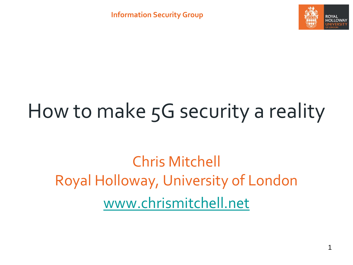

# How to make 5G security a reality

Chris Mitchell Royal Holloway, University of London [www.chrismitchell.net](http://www.chrismitchell.net/)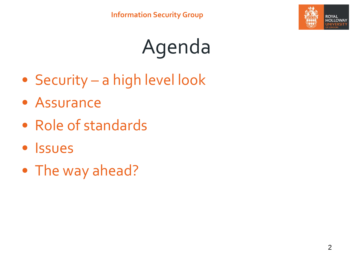

- Security a high level look
- Assurance
- Role of standards
- Issues
- The way ahead?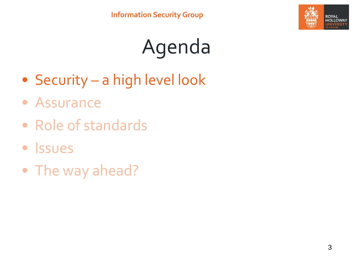

- Security a high level look
- Assurance
- Role of standards
- Issues
- The way ahead?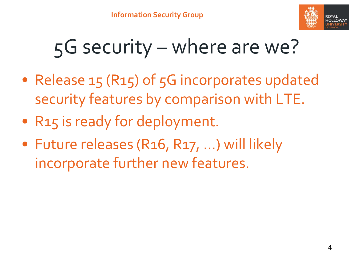

## 5G security – where are we?

- Release 15 (R15) of 5G incorporates updated security features by comparison with LTE.
- R15 is ready for deployment.
- Future releases (R16, R17, …) will likely incorporate further new features.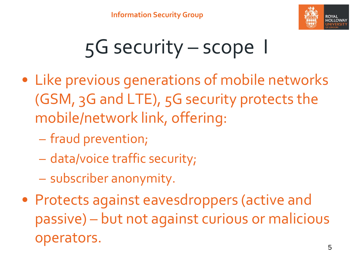

### 5G security – scope I

- Like previous generations of mobile networks (GSM, 3G and LTE), 5G security protects the mobile/network link, offering:
	- fraud prevention;
	- data/voice traffic security;
	- subscriber anonymity.
- Protects against eavesdroppers (active and passive) – but not against curious or malicious operators.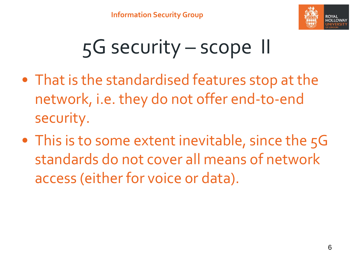

## 5G security – scope II

- That is the standardised features stop at the network, i.e. they do not offer end-to-end security.
- This is to some extent inevitable, since the 5G standards do not cover all means of network access (either for voice or data).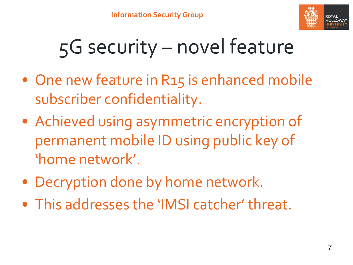

## 5G security – novel feature

- One new feature in R15 is enhanced mobile subscriber confidentiality.
- Achieved using asymmetric encryption of permanent mobile ID using public key of 'home network'.
- Decryption done by home network.
- This addresses the 'IMSI catcher' threat.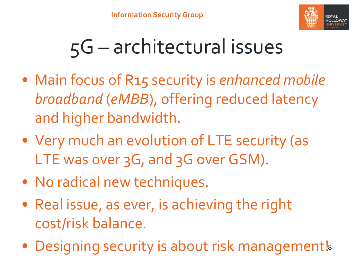

## 5G – architectural issues

- Main focus of R15 security is *enhanced mobile broadband* (*eMBB*), offering reduced latency and higher bandwidth.
- Very much an evolution of LTE security (as LTE was over 3G, and 3G over GSM).
- No radical new techniques.
- Real issue, as ever, is achieving the right cost/risk balance.
- Designing security is about risk management!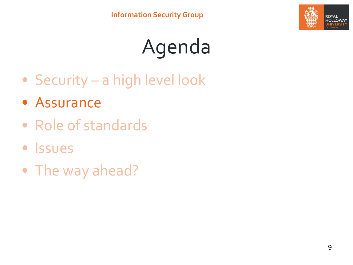

- Security a high level look
- Assurance
- Role of standards
- Issues
- The way ahead?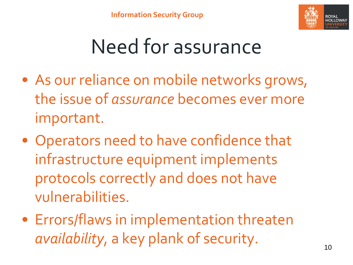

### Need for assurance

- As our reliance on mobile networks grows, the issue of *assurance* becomes ever more important.
- Operators need to have confidence that infrastructure equipment implements protocols correctly and does not have vulnerabilities.
- Errors/flaws in implementation threaten *availability*, a key plank of security.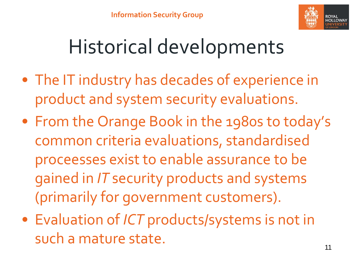

## Historical developments

- The IT industry has decades of experience in product and system security evaluations.
- From the Orange Book in the 1980s to today's common criteria evaluations, standardised proceesses exist to enable assurance to be gained in *IT* security products and systems (primarily for government customers).
- Evaluation of *ICT* products/systems is not in such a mature state.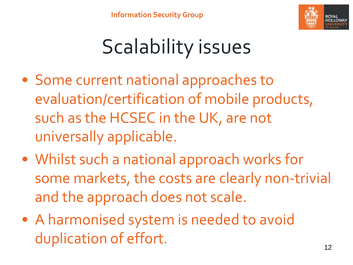

## Scalability issues

- Some current national approaches to evaluation/certification of mobile products, such as the HCSEC in the UK, are not universally applicable.
- Whilst such a national approach works for some markets, the costs are clearly non-trivial and the approach does not scale.
- A harmonised system is needed to avoid duplication of effort.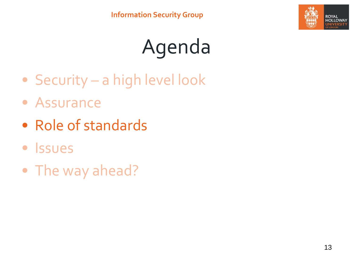

- Security a high level look
- Assurance
- Role of standards
- Issues
- The way ahead?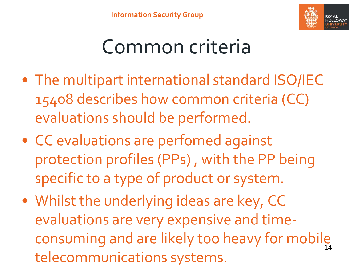

#### Common criteria

- The multipart international standard ISO/IEC 15408 describes how common criteria (CC) evaluations should be performed.
- CC evaluations are perfomed against protection profiles (PPs) , with the PP being specific to a type of product or system.
- Whilst the underlying ideas are key, CC evaluations are very expensive and timeconsuming and are likely too heavy for mobile 14telecommunications systems.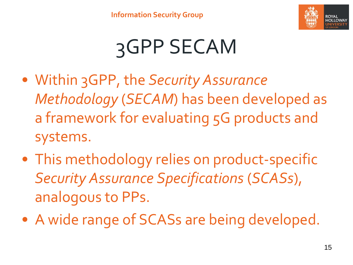

# 3GPP SECAM

- Within 3GPP, the *Security Assurance Methodology* (*SECAM*) has been developed as a framework for evaluating 5G products and systems.
- This methodology relies on product-specific *Security Assurance Specifications* (*SCASs*), analogous to PPs.
- A wide range of SCASs are being developed.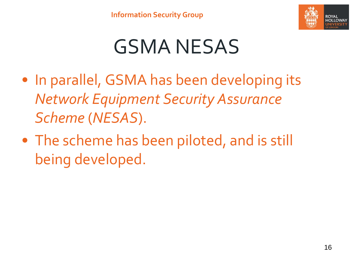

#### GSMA NESAS

- In parallel, GSMA has been developing its *Network Equipment Security Assurance Scheme* (*NESAS*).
- The scheme has been piloted, and is still being developed.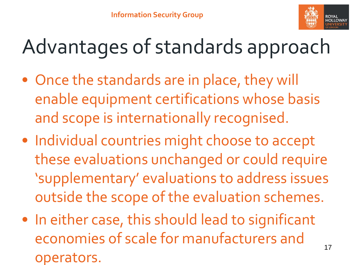

## Advantages of standards approach

- Once the standards are in place, they will enable equipment certifications whose basis and scope is internationally recognised.
- Individual countries might choose to accept these evaluations unchanged or could require 'supplementary' evaluations to address issues outside the scope of the evaluation schemes.
- In either case, this should lead to significant economies of scale for manufacturers and operators.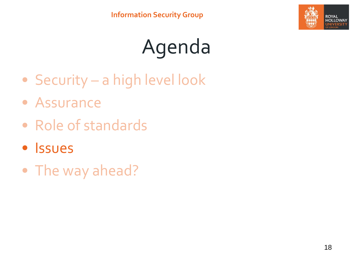

- Security a high level look
- Assurance
- Role of standards
- Issues
- The way ahead?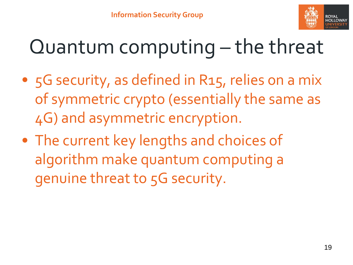

### Quantum computing – the threat

- 5G security, as defined in R15, relies on a mix of symmetric crypto (essentially the same as 4G) and asymmetric encryption.
- The current key lengths and choices of algorithm make quantum computing a genuine threat to 5G security.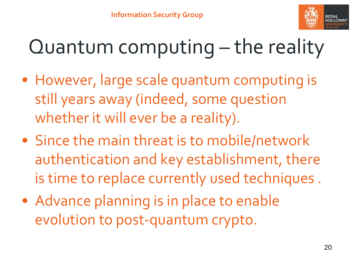

### Quantum computing – the reality

- However, large scale quantum computing is still years away (indeed, some question whether it will ever be a reality).
- Since the main threat is to mobile/network authentication and key establishment, there is time to replace currently used techniques .
- Advance planning is in place to enable evolution to post-quantum crypto.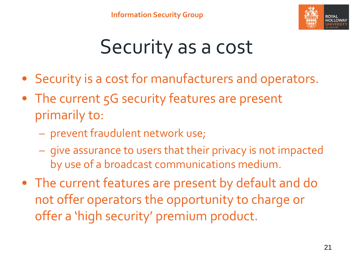

### Security as a cost

- Security is a cost for manufacturers and operators.
- The current 5G security features are present primarily to:
	- prevent fraudulent network use;
	- give assurance to users that their privacy is not impacted by use of a broadcast communications medium.
- The current features are present by default and do not offer operators the opportunity to charge or offer a 'high security' premium product.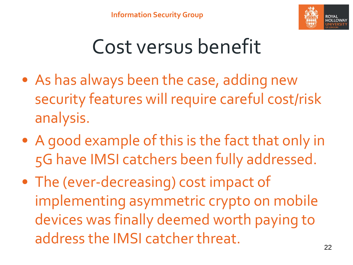

### Cost versus benefit

- As has always been the case, adding new security features will require careful cost/risk analysis.
- A good example of this is the fact that only in 5G have IMSI catchers been fully addressed.
- The (ever-decreasing) cost impact of implementing asymmetric crypto on mobile devices was finally deemed worth paying to address the IMSI catcher threat.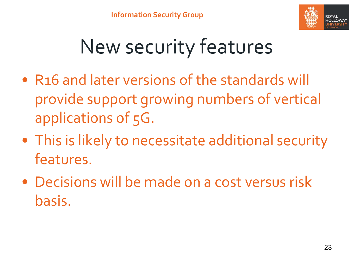

## New security features

- R16 and later versions of the standards will provide support growing numbers of vertical applications of 5G.
- This is likely to necessitate additional security features.
- Decisions will be made on a cost versus risk basis.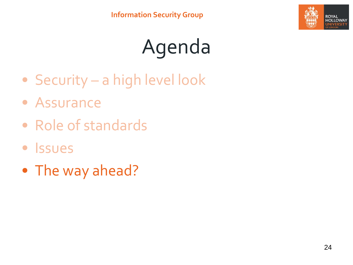

- Security a high level look
- Assurance
- Role of standards
- Issues
- The way ahead?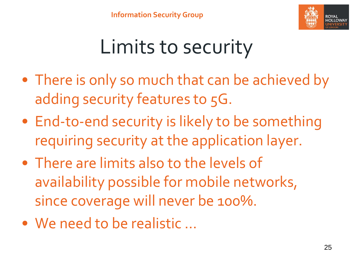

## Limits to security

- There is only so much that can be achieved by adding security features to 5G.
- End-to-end security is likely to be something requiring security at the application layer.
- There are limits also to the levels of availability possible for mobile networks, since coverage will never be 100%.
- We need to be realistic …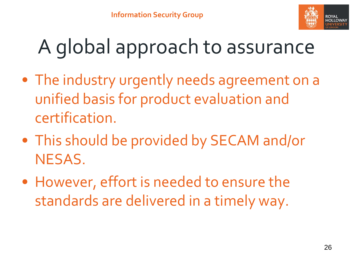

# A global approach to assurance

- The industry urgently needs agreement on a unified basis for product evaluation and certification.
- This should be provided by SECAM and/or NESAS.
- However, effort is needed to ensure the standards are delivered in a timely way.